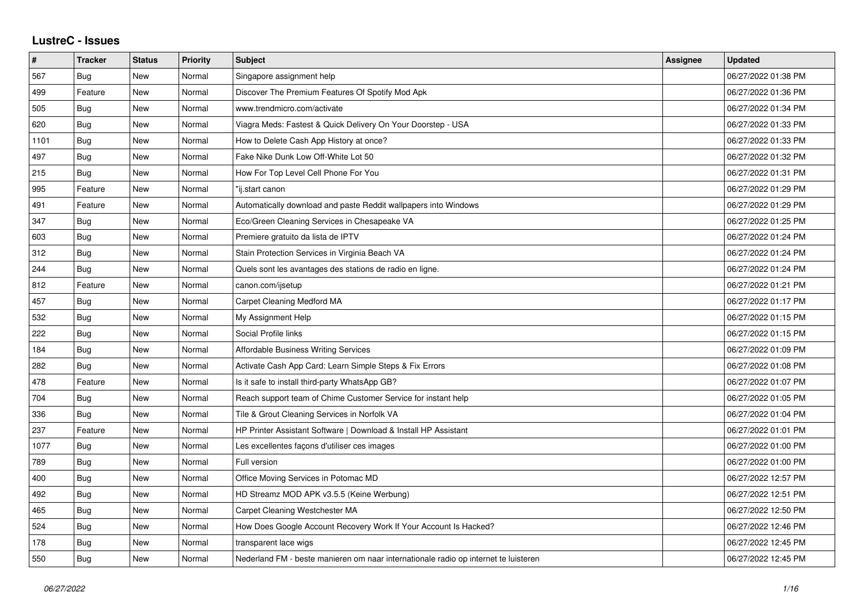## **LustreC - Issues**

| #    | <b>Tracker</b> | <b>Status</b> | <b>Priority</b> | <b>Subject</b>                                                                      | Assignee | <b>Updated</b>      |
|------|----------------|---------------|-----------------|-------------------------------------------------------------------------------------|----------|---------------------|
| 567  | <b>Bug</b>     | <b>New</b>    | Normal          | Singapore assignment help                                                           |          | 06/27/2022 01:38 PM |
| 499  | Feature        | <b>New</b>    | Normal          | Discover The Premium Features Of Spotify Mod Apk                                    |          | 06/27/2022 01:36 PM |
| 505  | <b>Bug</b>     | <b>New</b>    | Normal          | www.trendmicro.com/activate                                                         |          | 06/27/2022 01:34 PM |
| 620  | Bug            | <b>New</b>    | Normal          | Viagra Meds: Fastest & Quick Delivery On Your Doorstep - USA                        |          | 06/27/2022 01:33 PM |
| 1101 | Bug            | <b>New</b>    | Normal          | How to Delete Cash App History at once?                                             |          | 06/27/2022 01:33 PM |
| 497  | Bug            | <b>New</b>    | Normal          | Fake Nike Dunk Low Off-White Lot 50                                                 |          | 06/27/2022 01:32 PM |
| 215  | Bug            | <b>New</b>    | Normal          | How For Top Level Cell Phone For You                                                |          | 06/27/2022 01:31 PM |
| 995  | Feature        | <b>New</b>    | Normal          | "ij.start canon                                                                     |          | 06/27/2022 01:29 PM |
| 491  | Feature        | New           | Normal          | Automatically download and paste Reddit wallpapers into Windows                     |          | 06/27/2022 01:29 PM |
| 347  | Bug            | <b>New</b>    | Normal          | Eco/Green Cleaning Services in Chesapeake VA                                        |          | 06/27/2022 01:25 PM |
| 603  | Bug            | <b>New</b>    | Normal          | Premiere gratuito da lista de IPTV                                                  |          | 06/27/2022 01:24 PM |
| 312  | <b>Bug</b>     | <b>New</b>    | Normal          | Stain Protection Services in Virginia Beach VA                                      |          | 06/27/2022 01:24 PM |
| 244  | <b>Bug</b>     | <b>New</b>    | Normal          | Quels sont les avantages des stations de radio en ligne.                            |          | 06/27/2022 01:24 PM |
| 812  | Feature        | <b>New</b>    | Normal          | canon.com/ijsetup                                                                   |          | 06/27/2022 01:21 PM |
| 457  | <b>Bug</b>     | <b>New</b>    | Normal          | Carpet Cleaning Medford MA                                                          |          | 06/27/2022 01:17 PM |
| 532  | <b>Bug</b>     | <b>New</b>    | Normal          | My Assignment Help                                                                  |          | 06/27/2022 01:15 PM |
| 222  | Bug            | <b>New</b>    | Normal          | Social Profile links                                                                |          | 06/27/2022 01:15 PM |
| 184  | Bug            | <b>New</b>    | Normal          | <b>Affordable Business Writing Services</b>                                         |          | 06/27/2022 01:09 PM |
| 282  | <b>Bug</b>     | <b>New</b>    | Normal          | Activate Cash App Card: Learn Simple Steps & Fix Errors                             |          | 06/27/2022 01:08 PM |
| 478  | Feature        | <b>New</b>    | Normal          | Is it safe to install third-party WhatsApp GB?                                      |          | 06/27/2022 01:07 PM |
| 704  | Bug            | <b>New</b>    | Normal          | Reach support team of Chime Customer Service for instant help                       |          | 06/27/2022 01:05 PM |
| 336  | Bug            | <b>New</b>    | Normal          | Tile & Grout Cleaning Services in Norfolk VA                                        |          | 06/27/2022 01:04 PM |
| 237  | Feature        | <b>New</b>    | Normal          | HP Printer Assistant Software   Download & Install HP Assistant                     |          | 06/27/2022 01:01 PM |
| 1077 | Bug            | New           | Normal          | Les excellentes façons d'utiliser ces images                                        |          | 06/27/2022 01:00 PM |
| 789  | Bug            | <b>New</b>    | Normal          | Full version                                                                        |          | 06/27/2022 01:00 PM |
| 400  | Bug            | <b>New</b>    | Normal          | Office Moving Services in Potomac MD                                                |          | 06/27/2022 12:57 PM |
| 492  | <b>Bug</b>     | New           | Normal          | HD Streamz MOD APK v3.5.5 (Keine Werbung)                                           |          | 06/27/2022 12:51 PM |
| 465  | Bug            | <b>New</b>    | Normal          | Carpet Cleaning Westchester MA                                                      |          | 06/27/2022 12:50 PM |
| 524  | Bug            | <b>New</b>    | Normal          | How Does Google Account Recovery Work If Your Account Is Hacked?                    |          | 06/27/2022 12:46 PM |
| 178  | Bug            | New           | Normal          | transparent lace wigs                                                               |          | 06/27/2022 12:45 PM |
| 550  | Bug            | <b>New</b>    | Normal          | Nederland FM - beste manieren om naar internationale radio op internet te luisteren |          | 06/27/2022 12:45 PM |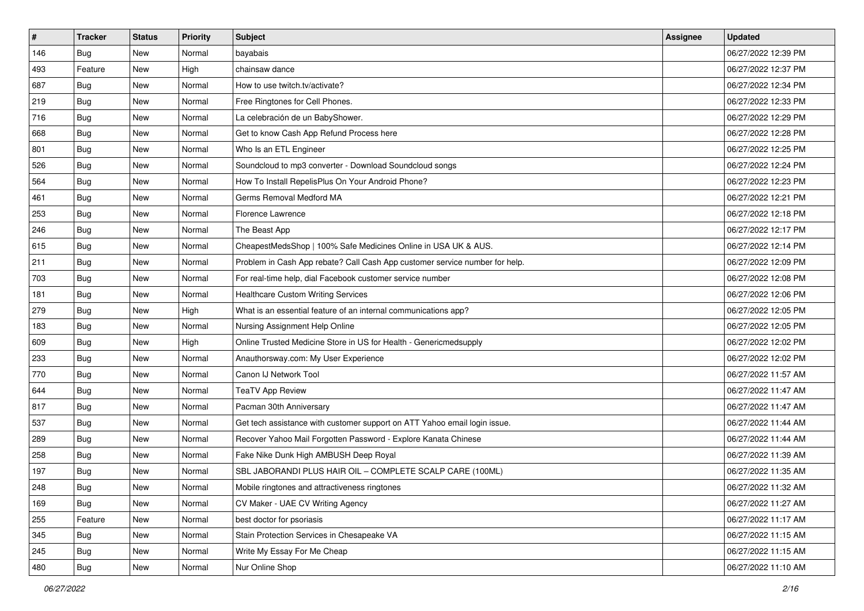| $\vert$ # | <b>Tracker</b> | <b>Status</b> | <b>Priority</b> | <b>Subject</b>                                                              | <b>Assignee</b> | <b>Updated</b>      |
|-----------|----------------|---------------|-----------------|-----------------------------------------------------------------------------|-----------------|---------------------|
| 146       | <b>Bug</b>     | New           | Normal          | bayabais                                                                    |                 | 06/27/2022 12:39 PM |
| 493       | Feature        | <b>New</b>    | High            | chainsaw dance                                                              |                 | 06/27/2022 12:37 PM |
| 687       | Bug            | New           | Normal          | How to use twitch.tv/activate?                                              |                 | 06/27/2022 12:34 PM |
| 219       | <b>Bug</b>     | <b>New</b>    | Normal          | Free Ringtones for Cell Phones.                                             |                 | 06/27/2022 12:33 PM |
| 716       | Bug            | <b>New</b>    | Normal          | La celebración de un BabyShower.                                            |                 | 06/27/2022 12:29 PM |
| 668       | <b>Bug</b>     | New           | Normal          | Get to know Cash App Refund Process here                                    |                 | 06/27/2022 12:28 PM |
| 801       | Bug            | New           | Normal          | Who Is an ETL Engineer                                                      |                 | 06/27/2022 12:25 PM |
| 526       | Bug            | New           | Normal          | Soundcloud to mp3 converter - Download Soundcloud songs                     |                 | 06/27/2022 12:24 PM |
| 564       | <b>Bug</b>     | New           | Normal          | How To Install RepelisPlus On Your Android Phone?                           |                 | 06/27/2022 12:23 PM |
| 461       | Bug            | New           | Normal          | Germs Removal Medford MA                                                    |                 | 06/27/2022 12:21 PM |
| 253       | Bug            | New           | Normal          | Florence Lawrence                                                           |                 | 06/27/2022 12:18 PM |
| 246       | <b>Bug</b>     | New           | Normal          | The Beast App                                                               |                 | 06/27/2022 12:17 PM |
| 615       | Bug            | <b>New</b>    | Normal          | CheapestMedsShop   100% Safe Medicines Online in USA UK & AUS.              |                 | 06/27/2022 12:14 PM |
| 211       | Bug            | New           | Normal          | Problem in Cash App rebate? Call Cash App customer service number for help. |                 | 06/27/2022 12:09 PM |
| 703       | Bug            | <b>New</b>    | Normal          | For real-time help, dial Facebook customer service number                   |                 | 06/27/2022 12:08 PM |
| 181       | <b>Bug</b>     | New           | Normal          | <b>Healthcare Custom Writing Services</b>                                   |                 | 06/27/2022 12:06 PM |
| 279       | <b>Bug</b>     | New           | High            | What is an essential feature of an internal communications app?             |                 | 06/27/2022 12:05 PM |
| 183       | Bug            | <b>New</b>    | Normal          | Nursing Assignment Help Online                                              |                 | 06/27/2022 12:05 PM |
| 609       | <b>Bug</b>     | New           | High            | Online Trusted Medicine Store in US for Health - Genericmedsupply           |                 | 06/27/2022 12:02 PM |
| 233       | Bug            | New           | Normal          | Anauthorsway.com: My User Experience                                        |                 | 06/27/2022 12:02 PM |
| 770       | Bug            | New           | Normal          | Canon IJ Network Tool                                                       |                 | 06/27/2022 11:57 AM |
| 644       | <b>Bug</b>     | New           | Normal          | <b>TeaTV App Review</b>                                                     |                 | 06/27/2022 11:47 AM |
| 817       | Bug            | <b>New</b>    | Normal          | Pacman 30th Anniversary                                                     |                 | 06/27/2022 11:47 AM |
| 537       | Bug            | New           | Normal          | Get tech assistance with customer support on ATT Yahoo email login issue.   |                 | 06/27/2022 11:44 AM |
| 289       | <b>Bug</b>     | New           | Normal          | Recover Yahoo Mail Forgotten Password - Explore Kanata Chinese              |                 | 06/27/2022 11:44 AM |
| 258       | <b>Bug</b>     | <b>New</b>    | Normal          | Fake Nike Dunk High AMBUSH Deep Royal                                       |                 | 06/27/2022 11:39 AM |
| 197       | <b>Bug</b>     | New           | Normal          | SBL JABORANDI PLUS HAIR OIL - COMPLETE SCALP CARE (100ML)                   |                 | 06/27/2022 11:35 AM |
| 248       | <b>Bug</b>     | New           | Normal          | Mobile ringtones and attractiveness ringtones                               |                 | 06/27/2022 11:32 AM |
| 169       | <b>Bug</b>     | New           | Normal          | CV Maker - UAE CV Writing Agency                                            |                 | 06/27/2022 11:27 AM |
| 255       | Feature        | New           | Normal          | best doctor for psoriasis                                                   |                 | 06/27/2022 11:17 AM |
| 345       | Bug            | New           | Normal          | Stain Protection Services in Chesapeake VA                                  |                 | 06/27/2022 11:15 AM |
| 245       | <b>Bug</b>     | New           | Normal          | Write My Essay For Me Cheap                                                 |                 | 06/27/2022 11:15 AM |
| 480       | <b>Bug</b>     | New           | Normal          | Nur Online Shop                                                             |                 | 06/27/2022 11:10 AM |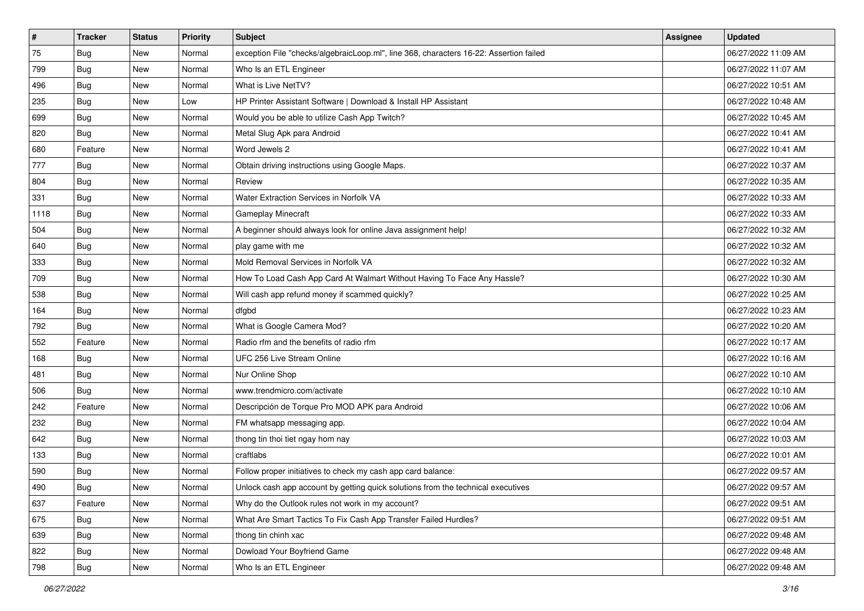| $\vert$ # | <b>Tracker</b> | <b>Status</b> | <b>Priority</b> | <b>Subject</b>                                                                         | Assignee | <b>Updated</b>      |
|-----------|----------------|---------------|-----------------|----------------------------------------------------------------------------------------|----------|---------------------|
| 75        | <b>Bug</b>     | New           | Normal          | exception File "checks/algebraicLoop.ml", line 368, characters 16-22: Assertion failed |          | 06/27/2022 11:09 AM |
| 799       | Bug            | New           | Normal          | Who Is an ETL Engineer                                                                 |          | 06/27/2022 11:07 AM |
| 496       | Bug            | New           | Normal          | What is Live NetTV?                                                                    |          | 06/27/2022 10:51 AM |
| 235       | <b>Bug</b>     | New           | Low             | HP Printer Assistant Software   Download & Install HP Assistant                        |          | 06/27/2022 10:48 AM |
| 699       | <b>Bug</b>     | <b>New</b>    | Normal          | Would you be able to utilize Cash App Twitch?                                          |          | 06/27/2022 10:45 AM |
| 820       | Bug            | New           | Normal          | Metal Slug Apk para Android                                                            |          | 06/27/2022 10:41 AM |
| 680       | Feature        | New           | Normal          | Word Jewels 2                                                                          |          | 06/27/2022 10:41 AM |
| 777       | Bug            | New           | Normal          | Obtain driving instructions using Google Maps.                                         |          | 06/27/2022 10:37 AM |
| 804       | <b>Bug</b>     | New           | Normal          | Review                                                                                 |          | 06/27/2022 10:35 AM |
| 331       | Bug            | <b>New</b>    | Normal          | Water Extraction Services in Norfolk VA                                                |          | 06/27/2022 10:33 AM |
| 1118      | <b>Bug</b>     | New           | Normal          | <b>Gameplay Minecraft</b>                                                              |          | 06/27/2022 10:33 AM |
| 504       | <b>Bug</b>     | New           | Normal          | A beginner should always look for online Java assignment help!                         |          | 06/27/2022 10:32 AM |
| 640       | Bug            | New           | Normal          | play game with me                                                                      |          | 06/27/2022 10:32 AM |
| 333       | <b>Bug</b>     | New           | Normal          | Mold Removal Services in Norfolk VA                                                    |          | 06/27/2022 10:32 AM |
| 709       | Bug            | New           | Normal          | How To Load Cash App Card At Walmart Without Having To Face Any Hassle?                |          | 06/27/2022 10:30 AM |
| 538       | Bug            | New           | Normal          | Will cash app refund money if scammed quickly?                                         |          | 06/27/2022 10:25 AM |
| 164       | <b>Bug</b>     | New           | Normal          | dfgbd                                                                                  |          | 06/27/2022 10:23 AM |
| 792       | Bug            | New           | Normal          | What is Google Camera Mod?                                                             |          | 06/27/2022 10:20 AM |
| 552       | Feature        | New           | Normal          | Radio rfm and the benefits of radio rfm                                                |          | 06/27/2022 10:17 AM |
| 168       | Bug            | New           | Normal          | UFC 256 Live Stream Online                                                             |          | 06/27/2022 10:16 AM |
| 481       | Bug            | New           | Normal          | Nur Online Shop                                                                        |          | 06/27/2022 10:10 AM |
| 506       | <b>Bug</b>     | New           | Normal          | www.trendmicro.com/activate                                                            |          | 06/27/2022 10:10 AM |
| 242       | Feature        | <b>New</b>    | Normal          | Descripción de Torque Pro MOD APK para Android                                         |          | 06/27/2022 10:06 AM |
| 232       | Bug            | New           | Normal          | FM whatsapp messaging app.                                                             |          | 06/27/2022 10:04 AM |
| 642       | Bug            | New           | Normal          | thong tin thoi tiet ngay hom nay                                                       |          | 06/27/2022 10:03 AM |
| 133       | Bug            | New           | Normal          | craftlabs                                                                              |          | 06/27/2022 10:01 AM |
| 590       | <b>Bug</b>     | New           | Normal          | Follow proper initiatives to check my cash app card balance:                           |          | 06/27/2022 09:57 AM |
| 490       | <b>Bug</b>     | New           | Normal          | Unlock cash app account by getting quick solutions from the technical executives       |          | 06/27/2022 09:57 AM |
| 637       | Feature        | New           | Normal          | Why do the Outlook rules not work in my account?                                       |          | 06/27/2022 09:51 AM |
| 675       | <b>Bug</b>     | New           | Normal          | What Are Smart Tactics To Fix Cash App Transfer Failed Hurdles?                        |          | 06/27/2022 09:51 AM |
| 639       | Bug            | New           | Normal          | thong tin chinh xac                                                                    |          | 06/27/2022 09:48 AM |
| 822       | <b>Bug</b>     | New           | Normal          | Dowload Your Boyfriend Game                                                            |          | 06/27/2022 09:48 AM |
| 798       | <b>Bug</b>     | New           | Normal          | Who Is an ETL Engineer                                                                 |          | 06/27/2022 09:48 AM |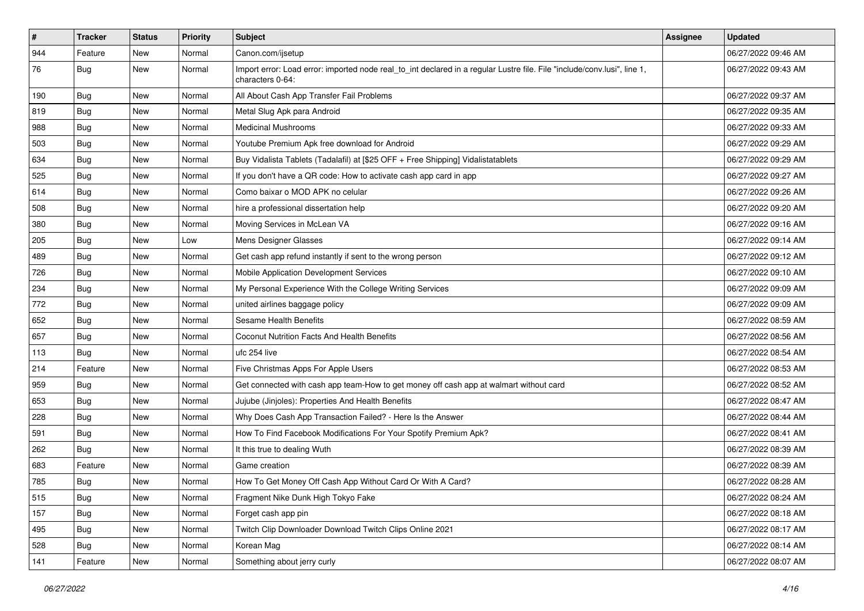| #   | <b>Tracker</b> | <b>Status</b> | Priority | Subject                                                                                                                                      | <b>Assignee</b> | <b>Updated</b>      |
|-----|----------------|---------------|----------|----------------------------------------------------------------------------------------------------------------------------------------------|-----------------|---------------------|
| 944 | Feature        | New           | Normal   | Canon.com/ijsetup                                                                                                                            |                 | 06/27/2022 09:46 AM |
| 76  | Bug            | New           | Normal   | Import error: Load error: imported node real_to_int declared in a regular Lustre file. File "include/conv.lusi", line 1,<br>characters 0-64: |                 | 06/27/2022 09:43 AM |
| 190 | <b>Bug</b>     | New           | Normal   | All About Cash App Transfer Fail Problems                                                                                                    |                 | 06/27/2022 09:37 AM |
| 819 | Bug            | New           | Normal   | Metal Slug Apk para Android                                                                                                                  |                 | 06/27/2022 09:35 AM |
| 988 | Bug            | New           | Normal   | <b>Medicinal Mushrooms</b>                                                                                                                   |                 | 06/27/2022 09:33 AM |
| 503 | <b>Bug</b>     | New           | Normal   | Youtube Premium Apk free download for Android                                                                                                |                 | 06/27/2022 09:29 AM |
| 634 | Bug            | <b>New</b>    | Normal   | Buy Vidalista Tablets (Tadalafil) at [\$25 OFF + Free Shipping] Vidalistatablets                                                             |                 | 06/27/2022 09:29 AM |
| 525 | Bug            | New           | Normal   | If you don't have a QR code: How to activate cash app card in app                                                                            |                 | 06/27/2022 09:27 AM |
| 614 | <b>Bug</b>     | New           | Normal   | Como baixar o MOD APK no celular                                                                                                             |                 | 06/27/2022 09:26 AM |
| 508 | Bug            | New           | Normal   | hire a professional dissertation help                                                                                                        |                 | 06/27/2022 09:20 AM |
| 380 | <b>Bug</b>     | <b>New</b>    | Normal   | Moving Services in McLean VA                                                                                                                 |                 | 06/27/2022 09:16 AM |
| 205 | Bug            | <b>New</b>    | Low      | Mens Designer Glasses                                                                                                                        |                 | 06/27/2022 09:14 AM |
| 489 | Bug            | New           | Normal   | Get cash app refund instantly if sent to the wrong person                                                                                    |                 | 06/27/2022 09:12 AM |
| 726 | Bug            | New           | Normal   | Mobile Application Development Services                                                                                                      |                 | 06/27/2022 09:10 AM |
| 234 | <b>Bug</b>     | New           | Normal   | My Personal Experience With the College Writing Services                                                                                     |                 | 06/27/2022 09:09 AM |
| 772 | <b>Bug</b>     | New           | Normal   | united airlines baggage policy                                                                                                               |                 | 06/27/2022 09:09 AM |
| 652 | Bug            | <b>New</b>    | Normal   | <b>Sesame Health Benefits</b>                                                                                                                |                 | 06/27/2022 08:59 AM |
| 657 | <b>Bug</b>     | New           | Normal   | Coconut Nutrition Facts And Health Benefits                                                                                                  |                 | 06/27/2022 08:56 AM |
| 113 | Bug            | New           | Normal   | ufc 254 live                                                                                                                                 |                 | 06/27/2022 08:54 AM |
| 214 | Feature        | <b>New</b>    | Normal   | Five Christmas Apps For Apple Users                                                                                                          |                 | 06/27/2022 08:53 AM |
| 959 | <b>Bug</b>     | New           | Normal   | Get connected with cash app team-How to get money off cash app at walmart without card                                                       |                 | 06/27/2022 08:52 AM |
| 653 | <b>Bug</b>     | New           | Normal   | Jujube (Jinjoles): Properties And Health Benefits                                                                                            |                 | 06/27/2022 08:47 AM |
| 228 | <b>Bug</b>     | New           | Normal   | Why Does Cash App Transaction Failed? - Here Is the Answer                                                                                   |                 | 06/27/2022 08:44 AM |
| 591 | <b>Bug</b>     | New           | Normal   | How To Find Facebook Modifications For Your Spotify Premium Apk?                                                                             |                 | 06/27/2022 08:41 AM |
| 262 | <b>Bug</b>     | <b>New</b>    | Normal   | It this true to dealing Wuth                                                                                                                 |                 | 06/27/2022 08:39 AM |
| 683 | Feature        | New           | Normal   | Game creation                                                                                                                                |                 | 06/27/2022 08:39 AM |
| 785 | Bug            | New           | Normal   | How To Get Money Off Cash App Without Card Or With A Card?                                                                                   |                 | 06/27/2022 08:28 AM |
| 515 | Bug            | New           | Normal   | Fragment Nike Dunk High Tokyo Fake                                                                                                           |                 | 06/27/2022 08:24 AM |
| 157 | Bug            | New           | Normal   | Forget cash app pin                                                                                                                          |                 | 06/27/2022 08:18 AM |
| 495 | Bug            | <b>New</b>    | Normal   | Twitch Clip Downloader Download Twitch Clips Online 2021                                                                                     |                 | 06/27/2022 08:17 AM |
| 528 | <b>Bug</b>     | New           | Normal   | Korean Mag                                                                                                                                   |                 | 06/27/2022 08:14 AM |
| 141 | Feature        | New           | Normal   | Something about jerry curly                                                                                                                  |                 | 06/27/2022 08:07 AM |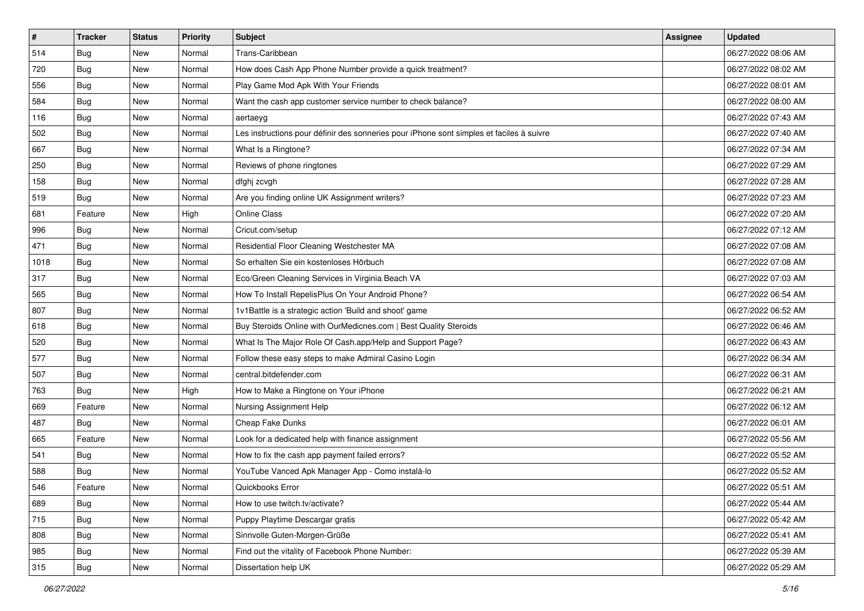| $\sharp$ | <b>Tracker</b> | <b>Status</b> | <b>Priority</b> | Subject                                                                                  | <b>Assignee</b> | <b>Updated</b>      |
|----------|----------------|---------------|-----------------|------------------------------------------------------------------------------------------|-----------------|---------------------|
| 514      | <b>Bug</b>     | New           | Normal          | Trans-Caribbean                                                                          |                 | 06/27/2022 08:06 AM |
| 720      | Bug            | New           | Normal          | How does Cash App Phone Number provide a quick treatment?                                |                 | 06/27/2022 08:02 AM |
| 556      | Bug            | New           | Normal          | Play Game Mod Apk With Your Friends                                                      |                 | 06/27/2022 08:01 AM |
| 584      | <b>Bug</b>     | New           | Normal          | Want the cash app customer service number to check balance?                              |                 | 06/27/2022 08:00 AM |
| 116      | Bug            | New           | Normal          | aertaeyg                                                                                 |                 | 06/27/2022 07:43 AM |
| 502      | <b>Bug</b>     | New           | Normal          | Les instructions pour définir des sonneries pour iPhone sont simples et faciles à suivre |                 | 06/27/2022 07:40 AM |
| 667      | Bug            | New           | Normal          | What Is a Ringtone?                                                                      |                 | 06/27/2022 07:34 AM |
| 250      | <b>Bug</b>     | <b>New</b>    | Normal          | Reviews of phone ringtones                                                               |                 | 06/27/2022 07:29 AM |
| 158      | Bug            | New           | Normal          | dfghj zcvgh                                                                              |                 | 06/27/2022 07:28 AM |
| 519      | <b>Bug</b>     | <b>New</b>    | Normal          | Are you finding online UK Assignment writers?                                            |                 | 06/27/2022 07:23 AM |
| 681      | Feature        | New           | High            | Online Class                                                                             |                 | 06/27/2022 07:20 AM |
| 996      | Bug            | New           | Normal          | Cricut.com/setup                                                                         |                 | 06/27/2022 07:12 AM |
| 471      | Bug            | New           | Normal          | Residential Floor Cleaning Westchester MA                                                |                 | 06/27/2022 07:08 AM |
| 1018     | <b>Bug</b>     | New           | Normal          | So erhalten Sie ein kostenloses Hörbuch                                                  |                 | 06/27/2022 07:08 AM |
| 317      | <b>Bug</b>     | New           | Normal          | Eco/Green Cleaning Services in Virginia Beach VA                                         |                 | 06/27/2022 07:03 AM |
| 565      | Bug            | New           | Normal          | How To Install RepelisPlus On Your Android Phone?                                        |                 | 06/27/2022 06:54 AM |
| 807      | <b>Bug</b>     | New           | Normal          | 1v1Battle is a strategic action 'Build and shoot' game                                   |                 | 06/27/2022 06:52 AM |
| 618      | Bug            | New           | Normal          | Buy Steroids Online with OurMedicnes.com   Best Quality Steroids                         |                 | 06/27/2022 06:46 AM |
| 520      | <b>Bug</b>     | New           | Normal          | What Is The Major Role Of Cash.app/Help and Support Page?                                |                 | 06/27/2022 06:43 AM |
| 577      | <b>Bug</b>     | New           | Normal          | Follow these easy steps to make Admiral Casino Login                                     |                 | 06/27/2022 06:34 AM |
| 507      | <b>Bug</b>     | <b>New</b>    | Normal          | central.bitdefender.com                                                                  |                 | 06/27/2022 06:31 AM |
| 763      | <b>Bug</b>     | New           | High            | How to Make a Ringtone on Your iPhone                                                    |                 | 06/27/2022 06:21 AM |
| 669      | Feature        | New           | Normal          | Nursing Assignment Help                                                                  |                 | 06/27/2022 06:12 AM |
| 487      | <b>Bug</b>     | New           | Normal          | Cheap Fake Dunks                                                                         |                 | 06/27/2022 06:01 AM |
| 665      | Feature        | New           | Normal          | Look for a dedicated help with finance assignment                                        |                 | 06/27/2022 05:56 AM |
| 541      | Bug            | New           | Normal          | How to fix the cash app payment failed errors?                                           |                 | 06/27/2022 05:52 AM |
| 588      | Bug            | New           | Normal          | YouTube Vanced Apk Manager App - Como instalá-lo                                         |                 | 06/27/2022 05:52 AM |
| 546      | Feature        | New           | Normal          | Quickbooks Error                                                                         |                 | 06/27/2022 05:51 AM |
| 689      | <b>Bug</b>     | New           | Normal          | How to use twitch.tv/activate?                                                           |                 | 06/27/2022 05:44 AM |
| 715      | <b>Bug</b>     | New           | Normal          | Puppy Playtime Descargar gratis                                                          |                 | 06/27/2022 05:42 AM |
| 808      | Bug            | New           | Normal          | Sinnvolle Guten-Morgen-Grüße                                                             |                 | 06/27/2022 05:41 AM |
| 985      | <b>Bug</b>     | New           | Normal          | Find out the vitality of Facebook Phone Number:                                          |                 | 06/27/2022 05:39 AM |
| 315      | <b>Bug</b>     | New           | Normal          | Dissertation help UK                                                                     |                 | 06/27/2022 05:29 AM |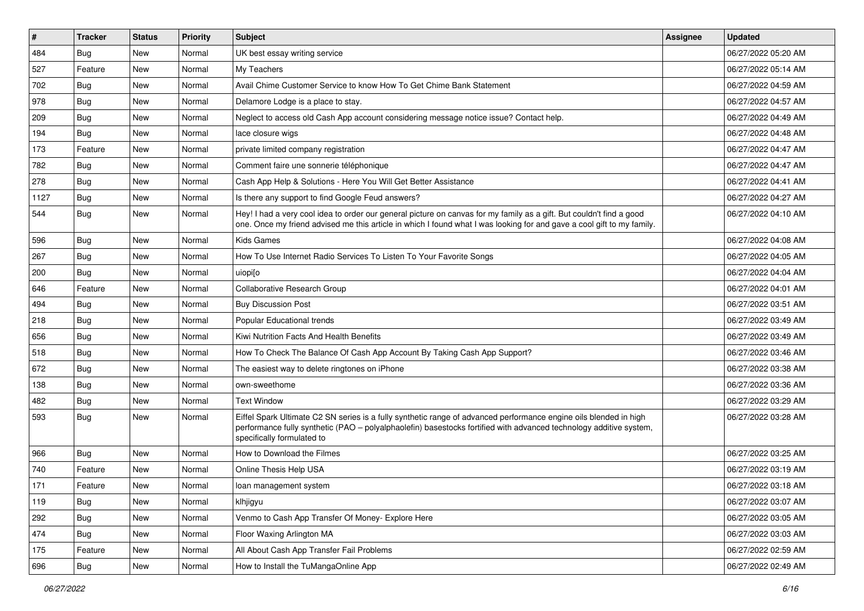| #    | <b>Tracker</b> | <b>Status</b> | <b>Priority</b> | <b>Subject</b>                                                                                                                                                                                                                                                        | <b>Assignee</b> | <b>Updated</b>      |
|------|----------------|---------------|-----------------|-----------------------------------------------------------------------------------------------------------------------------------------------------------------------------------------------------------------------------------------------------------------------|-----------------|---------------------|
| 484  | <b>Bug</b>     | New           | Normal          | UK best essay writing service                                                                                                                                                                                                                                         |                 | 06/27/2022 05:20 AM |
| 527  | Feature        | <b>New</b>    | Normal          | My Teachers                                                                                                                                                                                                                                                           |                 | 06/27/2022 05:14 AM |
| 702  | Bug            | New           | Normal          | Avail Chime Customer Service to know How To Get Chime Bank Statement                                                                                                                                                                                                  |                 | 06/27/2022 04:59 AM |
| 978  | <b>Bug</b>     | <b>New</b>    | Normal          | Delamore Lodge is a place to stay.                                                                                                                                                                                                                                    |                 | 06/27/2022 04:57 AM |
| 209  | Bug            | <b>New</b>    | Normal          | Neglect to access old Cash App account considering message notice issue? Contact help.                                                                                                                                                                                |                 | 06/27/2022 04:49 AM |
| 194  | <b>Bug</b>     | <b>New</b>    | Normal          | lace closure wigs                                                                                                                                                                                                                                                     |                 | 06/27/2022 04:48 AM |
| 173  | Feature        | <b>New</b>    | Normal          | private limited company registration                                                                                                                                                                                                                                  |                 | 06/27/2022 04:47 AM |
| 782  | <b>Bug</b>     | New           | Normal          | Comment faire une sonnerie téléphonique                                                                                                                                                                                                                               |                 | 06/27/2022 04:47 AM |
| 278  | <b>Bug</b>     | <b>New</b>    | Normal          | Cash App Help & Solutions - Here You Will Get Better Assistance                                                                                                                                                                                                       |                 | 06/27/2022 04:41 AM |
| 1127 | Bug            | <b>New</b>    | Normal          | Is there any support to find Google Feud answers?                                                                                                                                                                                                                     |                 | 06/27/2022 04:27 AM |
| 544  | <b>Bug</b>     | <b>New</b>    | Normal          | Hey! I had a very cool idea to order our general picture on canvas for my family as a gift. But couldn't find a good<br>one. Once my friend advised me this article in which I found what I was looking for and gave a cool gift to my family.                        |                 | 06/27/2022 04:10 AM |
| 596  | Bug            | <b>New</b>    | Normal          | <b>Kids Games</b>                                                                                                                                                                                                                                                     |                 | 06/27/2022 04:08 AM |
| 267  | Bug            | New           | Normal          | How To Use Internet Radio Services To Listen To Your Favorite Songs                                                                                                                                                                                                   |                 | 06/27/2022 04:05 AM |
| 200  | Bug            | <b>New</b>    | Normal          | uiopi[o                                                                                                                                                                                                                                                               |                 | 06/27/2022 04:04 AM |
| 646  | Feature        | New           | Normal          | <b>Collaborative Research Group</b>                                                                                                                                                                                                                                   |                 | 06/27/2022 04:01 AM |
| 494  | <b>Bug</b>     | <b>New</b>    | Normal          | <b>Buy Discussion Post</b>                                                                                                                                                                                                                                            |                 | 06/27/2022 03:51 AM |
| 218  | Bug            | <b>New</b>    | Normal          | Popular Educational trends                                                                                                                                                                                                                                            |                 | 06/27/2022 03:49 AM |
| 656  | <b>Bug</b>     | <b>New</b>    | Normal          | Kiwi Nutrition Facts And Health Benefits                                                                                                                                                                                                                              |                 | 06/27/2022 03:49 AM |
| 518  | Bug            | <b>New</b>    | Normal          | How To Check The Balance Of Cash App Account By Taking Cash App Support?                                                                                                                                                                                              |                 | 06/27/2022 03:46 AM |
| 672  | Bug            | <b>New</b>    | Normal          | The easiest way to delete ringtones on iPhone                                                                                                                                                                                                                         |                 | 06/27/2022 03:38 AM |
| 138  | <b>Bug</b>     | New           | Normal          | own-sweethome                                                                                                                                                                                                                                                         |                 | 06/27/2022 03:36 AM |
| 482  | Bug            | <b>New</b>    | Normal          | <b>Text Window</b>                                                                                                                                                                                                                                                    |                 | 06/27/2022 03:29 AM |
| 593  | Bug            | <b>New</b>    | Normal          | Eiffel Spark Ultimate C2 SN series is a fully synthetic range of advanced performance engine oils blended in high<br>performance fully synthetic (PAO - polyalphaolefin) basestocks fortified with advanced technology additive system,<br>specifically formulated to |                 | 06/27/2022 03:28 AM |
| 966  | Bug            | <b>New</b>    | Normal          | How to Download the Filmes                                                                                                                                                                                                                                            |                 | 06/27/2022 03:25 AM |
| 740  | Feature        | <b>New</b>    | Normal          | Online Thesis Help USA                                                                                                                                                                                                                                                |                 | 06/27/2022 03:19 AM |
| 171  | Feature        | New           | Normal          | loan management system                                                                                                                                                                                                                                                |                 | 06/27/2022 03:18 AM |
| 119  | Bug            | New           | Normal          | klhjigyu                                                                                                                                                                                                                                                              |                 | 06/27/2022 03:07 AM |
| 292  | Bug            | New           | Normal          | Venmo to Cash App Transfer Of Money- Explore Here                                                                                                                                                                                                                     |                 | 06/27/2022 03:05 AM |
| 474  | <b>Bug</b>     | New           | Normal          | Floor Waxing Arlington MA                                                                                                                                                                                                                                             |                 | 06/27/2022 03:03 AM |
| 175  | Feature        | New           | Normal          | All About Cash App Transfer Fail Problems                                                                                                                                                                                                                             |                 | 06/27/2022 02:59 AM |
| 696  | <b>Bug</b>     | New           | Normal          | How to Install the TuMangaOnline App                                                                                                                                                                                                                                  |                 | 06/27/2022 02:49 AM |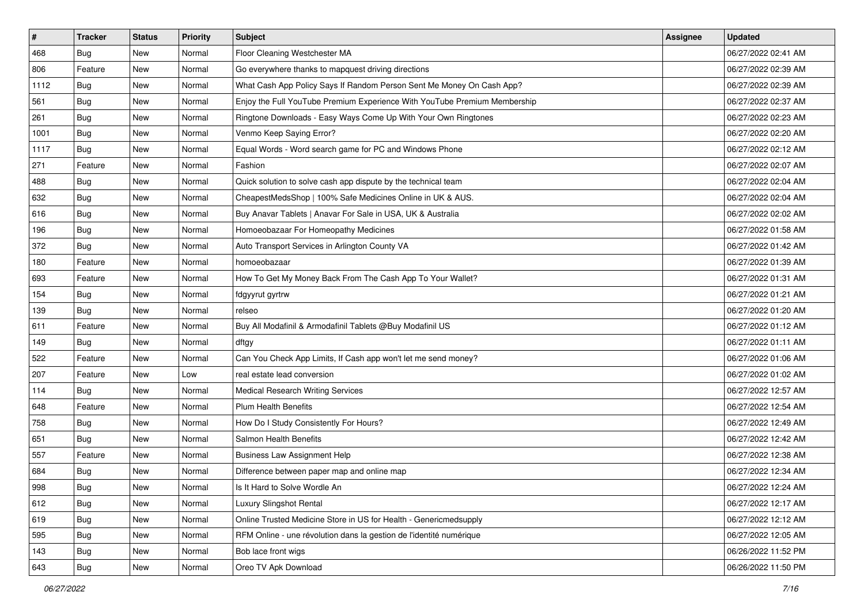| $\sharp$ | <b>Tracker</b> | <b>Status</b> | <b>Priority</b> | <b>Subject</b>                                                            | <b>Assignee</b> | <b>Updated</b>      |
|----------|----------------|---------------|-----------------|---------------------------------------------------------------------------|-----------------|---------------------|
| 468      | Bug            | New           | Normal          | Floor Cleaning Westchester MA                                             |                 | 06/27/2022 02:41 AM |
| 806      | Feature        | <b>New</b>    | Normal          | Go everywhere thanks to mapquest driving directions                       |                 | 06/27/2022 02:39 AM |
| 1112     | Bug            | New           | Normal          | What Cash App Policy Says If Random Person Sent Me Money On Cash App?     |                 | 06/27/2022 02:39 AM |
| 561      | <b>Bug</b>     | <b>New</b>    | Normal          | Enjoy the Full YouTube Premium Experience With YouTube Premium Membership |                 | 06/27/2022 02:37 AM |
| 261      | <b>Bug</b>     | New           | Normal          | Ringtone Downloads - Easy Ways Come Up With Your Own Ringtones            |                 | 06/27/2022 02:23 AM |
| 1001     | <b>Bug</b>     | New           | Normal          | Venmo Keep Saying Error?                                                  |                 | 06/27/2022 02:20 AM |
| 1117     | <b>Bug</b>     | <b>New</b>    | Normal          | Equal Words - Word search game for PC and Windows Phone                   |                 | 06/27/2022 02:12 AM |
| 271      | Feature        | New           | Normal          | Fashion                                                                   |                 | 06/27/2022 02:07 AM |
| 488      | <b>Bug</b>     | New           | Normal          | Quick solution to solve cash app dispute by the technical team            |                 | 06/27/2022 02:04 AM |
| 632      | Bug            | <b>New</b>    | Normal          | CheapestMedsShop   100% Safe Medicines Online in UK & AUS.                |                 | 06/27/2022 02:04 AM |
| 616      | Bug            | New           | Normal          | Buy Anavar Tablets   Anavar For Sale in USA, UK & Australia               |                 | 06/27/2022 02:02 AM |
| 196      | Bug            | New           | Normal          | Homoeobazaar For Homeopathy Medicines                                     |                 | 06/27/2022 01:58 AM |
| 372      | <b>Bug</b>     | New           | Normal          | Auto Transport Services in Arlington County VA                            |                 | 06/27/2022 01:42 AM |
| 180      | Feature        | New           | Normal          | homoeobazaar                                                              |                 | 06/27/2022 01:39 AM |
| 693      | Feature        | <b>New</b>    | Normal          | How To Get My Money Back From The Cash App To Your Wallet?                |                 | 06/27/2022 01:31 AM |
| 154      | <b>Bug</b>     | New           | Normal          | fdgyyrut gyrtrw                                                           |                 | 06/27/2022 01:21 AM |
| 139      | <b>Bug</b>     | <b>New</b>    | Normal          | relseo                                                                    |                 | 06/27/2022 01:20 AM |
| 611      | Feature        | <b>New</b>    | Normal          | Buy All Modafinil & Armodafinil Tablets @Buy Modafinil US                 |                 | 06/27/2022 01:12 AM |
| 149      | Bug            | New           | Normal          | dftgy                                                                     |                 | 06/27/2022 01:11 AM |
| 522      | Feature        | <b>New</b>    | Normal          | Can You Check App Limits, If Cash app won't let me send money?            |                 | 06/27/2022 01:06 AM |
| 207      | Feature        | New           | Low             | real estate lead conversion                                               |                 | 06/27/2022 01:02 AM |
| 114      | <b>Bug</b>     | New           | Normal          | <b>Medical Research Writing Services</b>                                  |                 | 06/27/2022 12:57 AM |
| 648      | Feature        | <b>New</b>    | Normal          | <b>Plum Health Benefits</b>                                               |                 | 06/27/2022 12:54 AM |
| 758      | <b>Bug</b>     | New           | Normal          | How Do I Study Consistently For Hours?                                    |                 | 06/27/2022 12:49 AM |
| 651      | <b>Bug</b>     | New           | Normal          | Salmon Health Benefits                                                    |                 | 06/27/2022 12:42 AM |
| 557      | Feature        | New           | Normal          | <b>Business Law Assignment Help</b>                                       |                 | 06/27/2022 12:38 AM |
| 684      | <b>Bug</b>     | New           | Normal          | Difference between paper map and online map                               |                 | 06/27/2022 12:34 AM |
| 998      | Bug            | New           | Normal          | Is It Hard to Solve Wordle An                                             |                 | 06/27/2022 12:24 AM |
| 612      | Bug            | New           | Normal          | Luxury Slingshot Rental                                                   |                 | 06/27/2022 12:17 AM |
| 619      | Bug            | New           | Normal          | Online Trusted Medicine Store in US for Health - Genericmedsupply         |                 | 06/27/2022 12:12 AM |
| 595      | Bug            | New           | Normal          | RFM Online - une révolution dans la gestion de l'identité numérique       |                 | 06/27/2022 12:05 AM |
| 143      | <b>Bug</b>     | New           | Normal          | Bob lace front wigs                                                       |                 | 06/26/2022 11:52 PM |
| 643      | <b>Bug</b>     | New           | Normal          | Oreo TV Apk Download                                                      |                 | 06/26/2022 11:50 PM |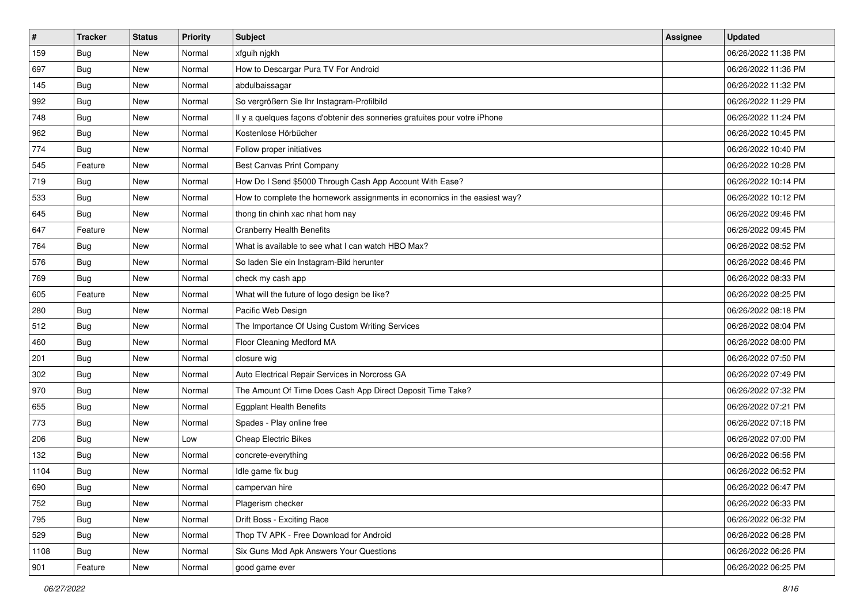| $\sharp$ | <b>Tracker</b> | <b>Status</b> | <b>Priority</b> | <b>Subject</b>                                                             | <b>Assignee</b> | <b>Updated</b>      |
|----------|----------------|---------------|-----------------|----------------------------------------------------------------------------|-----------------|---------------------|
| 159      | <b>Bug</b>     | New           | Normal          | xfguih njgkh                                                               |                 | 06/26/2022 11:38 PM |
| 697      | <b>Bug</b>     | New           | Normal          | How to Descargar Pura TV For Android                                       |                 | 06/26/2022 11:36 PM |
| 145      | Bug            | New           | Normal          | abdulbaissagar                                                             |                 | 06/26/2022 11:32 PM |
| 992      | Bug            | <b>New</b>    | Normal          | So vergrößern Sie Ihr Instagram-Profilbild                                 |                 | 06/26/2022 11:29 PM |
| 748      | Bug            | New           | Normal          | Il y a quelques façons d'obtenir des sonneries gratuites pour votre iPhone |                 | 06/26/2022 11:24 PM |
| 962      | <b>Bug</b>     | New           | Normal          | Kostenlose Hörbücher                                                       |                 | 06/26/2022 10:45 PM |
| 774      | <b>Bug</b>     | New           | Normal          | Follow proper initiatives                                                  |                 | 06/26/2022 10:40 PM |
| 545      | Feature        | New           | Normal          | <b>Best Canvas Print Company</b>                                           |                 | 06/26/2022 10:28 PM |
| 719      | <b>Bug</b>     | New           | Normal          | How Do I Send \$5000 Through Cash App Account With Ease?                   |                 | 06/26/2022 10:14 PM |
| 533      | Bug            | <b>New</b>    | Normal          | How to complete the homework assignments in economics in the easiest way?  |                 | 06/26/2022 10:12 PM |
| 645      | <b>Bug</b>     | New           | Normal          | thong tin chinh xac nhat hom nay                                           |                 | 06/26/2022 09:46 PM |
| 647      | Feature        | New           | Normal          | <b>Cranberry Health Benefits</b>                                           |                 | 06/26/2022 09:45 PM |
| 764      | <b>Bug</b>     | New           | Normal          | What is available to see what I can watch HBO Max?                         |                 | 06/26/2022 08:52 PM |
| 576      | <b>Bug</b>     | New           | Normal          | So laden Sie ein Instagram-Bild herunter                                   |                 | 06/26/2022 08:46 PM |
| 769      | <b>Bug</b>     | <b>New</b>    | Normal          | check my cash app                                                          |                 | 06/26/2022 08:33 PM |
| 605      | Feature        | New           | Normal          | What will the future of logo design be like?                               |                 | 06/26/2022 08:25 PM |
| 280      | <b>Bug</b>     | New           | Normal          | Pacific Web Design                                                         |                 | 06/26/2022 08:18 PM |
| 512      | Bug            | New           | Normal          | The Importance Of Using Custom Writing Services                            |                 | 06/26/2022 08:04 PM |
| 460      | Bug            | New           | Normal          | Floor Cleaning Medford MA                                                  |                 | 06/26/2022 08:00 PM |
| 201      | Bug            | <b>New</b>    | Normal          | closure wig                                                                |                 | 06/26/2022 07:50 PM |
| 302      | Bug            | New           | Normal          | Auto Electrical Repair Services in Norcross GA                             |                 | 06/26/2022 07:49 PM |
| 970      | <b>Bug</b>     | New           | Normal          | The Amount Of Time Does Cash App Direct Deposit Time Take?                 |                 | 06/26/2022 07:32 PM |
| 655      | Bug            | New           | Normal          | <b>Eggplant Health Benefits</b>                                            |                 | 06/26/2022 07:21 PM |
| 773      | <b>Bug</b>     | New           | Normal          | Spades - Play online free                                                  |                 | 06/26/2022 07:18 PM |
| 206      | Bug            | New           | Low             | <b>Cheap Electric Bikes</b>                                                |                 | 06/26/2022 07:00 PM |
| 132      | <b>Bug</b>     | New           | Normal          | concrete-everything                                                        |                 | 06/26/2022 06:56 PM |
| 1104     | <b>Bug</b>     | New           | Normal          | Idle game fix bug                                                          |                 | 06/26/2022 06:52 PM |
| 690      | I Bug          | New           | Normal          | campervan hire                                                             |                 | 06/26/2022 06:47 PM |
| 752      | <b>Bug</b>     | New           | Normal          | Plagerism checker                                                          |                 | 06/26/2022 06:33 PM |
| 795      | <b>Bug</b>     | New           | Normal          | Drift Boss - Exciting Race                                                 |                 | 06/26/2022 06:32 PM |
| 529      | Bug            | New           | Normal          | Thop TV APK - Free Download for Android                                    |                 | 06/26/2022 06:28 PM |
| 1108     | <b>Bug</b>     | New           | Normal          | Six Guns Mod Apk Answers Your Questions                                    |                 | 06/26/2022 06:26 PM |
| 901      | Feature        | New           | Normal          | good game ever                                                             |                 | 06/26/2022 06:25 PM |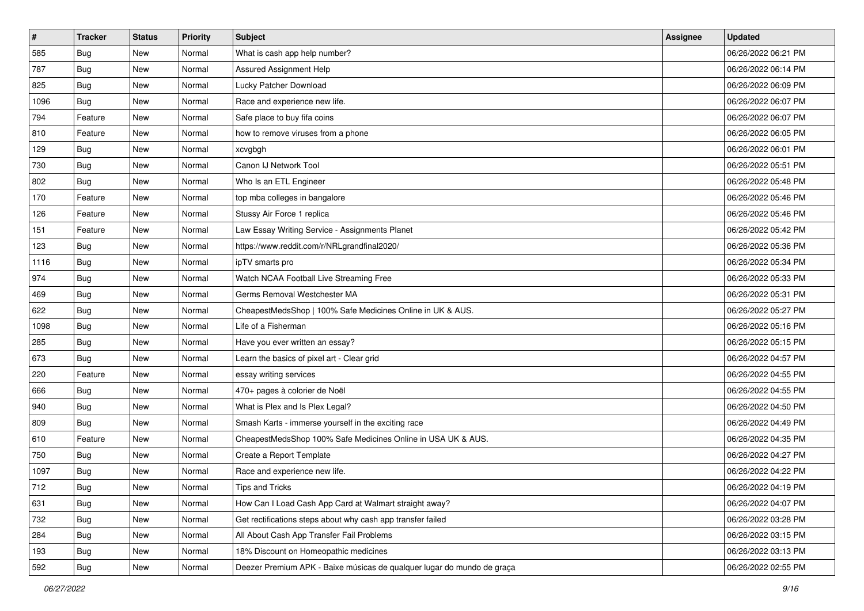| $\sharp$ | <b>Tracker</b> | <b>Status</b> | <b>Priority</b> | <b>Subject</b>                                                         | <b>Assignee</b> | <b>Updated</b>      |
|----------|----------------|---------------|-----------------|------------------------------------------------------------------------|-----------------|---------------------|
| 585      | <b>Bug</b>     | New           | Normal          | What is cash app help number?                                          |                 | 06/26/2022 06:21 PM |
| 787      | <b>Bug</b>     | New           | Normal          | Assured Assignment Help                                                |                 | 06/26/2022 06:14 PM |
| 825      | Bug            | New           | Normal          | Lucky Patcher Download                                                 |                 | 06/26/2022 06:09 PM |
| 1096     | <b>Bug</b>     | <b>New</b>    | Normal          | Race and experience new life.                                          |                 | 06/26/2022 06:07 PM |
| 794      | Feature        | New           | Normal          | Safe place to buy fifa coins                                           |                 | 06/26/2022 06:07 PM |
| 810      | Feature        | New           | Normal          | how to remove viruses from a phone                                     |                 | 06/26/2022 06:05 PM |
| 129      | <b>Bug</b>     | New           | Normal          | xcvgbgh                                                                |                 | 06/26/2022 06:01 PM |
| 730      | <b>Bug</b>     | New           | Normal          | Canon IJ Network Tool                                                  |                 | 06/26/2022 05:51 PM |
| 802      | Bug            | New           | Normal          | Who Is an ETL Engineer                                                 |                 | 06/26/2022 05:48 PM |
| 170      | Feature        | New           | Normal          | top mba colleges in bangalore                                          |                 | 06/26/2022 05:46 PM |
| 126      | Feature        | New           | Normal          | Stussy Air Force 1 replica                                             |                 | 06/26/2022 05:46 PM |
| 151      | Feature        | New           | Normal          | Law Essay Writing Service - Assignments Planet                         |                 | 06/26/2022 05:42 PM |
| 123      | Bug            | New           | Normal          | https://www.reddit.com/r/NRLgrandfinal2020/                            |                 | 06/26/2022 05:36 PM |
| 1116     | <b>Bug</b>     | New           | Normal          | ipTV smarts pro                                                        |                 | 06/26/2022 05:34 PM |
| 974      | Bug            | <b>New</b>    | Normal          | Watch NCAA Football Live Streaming Free                                |                 | 06/26/2022 05:33 PM |
| 469      | Bug            | New           | Normal          | Germs Removal Westchester MA                                           |                 | 06/26/2022 05:31 PM |
| 622      | <b>Bug</b>     | New           | Normal          | CheapestMedsShop   100% Safe Medicines Online in UK & AUS.             |                 | 06/26/2022 05:27 PM |
| 1098     | Bug            | New           | Normal          | Life of a Fisherman                                                    |                 | 06/26/2022 05:16 PM |
| 285      | Bug            | New           | Normal          | Have you ever written an essay?                                        |                 | 06/26/2022 05:15 PM |
| 673      | Bug            | New           | Normal          | Learn the basics of pixel art - Clear grid                             |                 | 06/26/2022 04:57 PM |
| 220      | Feature        | New           | Normal          | essay writing services                                                 |                 | 06/26/2022 04:55 PM |
| 666      | <b>Bug</b>     | New           | Normal          | 470+ pages à colorier de Noël                                          |                 | 06/26/2022 04:55 PM |
| 940      | Bug            | New           | Normal          | What is Plex and Is Plex Legal?                                        |                 | 06/26/2022 04:50 PM |
| 809      | <b>Bug</b>     | New           | Normal          | Smash Karts - immerse yourself in the exciting race                    |                 | 06/26/2022 04:49 PM |
| 610      | Feature        | New           | Normal          | CheapestMedsShop 100% Safe Medicines Online in USA UK & AUS.           |                 | 06/26/2022 04:35 PM |
| 750      | Bug            | New           | Normal          | Create a Report Template                                               |                 | 06/26/2022 04:27 PM |
| 1097     | <b>Bug</b>     | New           | Normal          | Race and experience new life.                                          |                 | 06/26/2022 04:22 PM |
| 712      | i Bug          | New           | Normal          | Tips and Tricks                                                        |                 | 06/26/2022 04:19 PM |
| 631      | <b>Bug</b>     | New           | Normal          | How Can I Load Cash App Card at Walmart straight away?                 |                 | 06/26/2022 04:07 PM |
| 732      | <b>Bug</b>     | New           | Normal          | Get rectifications steps about why cash app transfer failed            |                 | 06/26/2022 03:28 PM |
| 284      | <b>Bug</b>     | New           | Normal          | All About Cash App Transfer Fail Problems                              |                 | 06/26/2022 03:15 PM |
| 193      | <b>Bug</b>     | New           | Normal          | 18% Discount on Homeopathic medicines                                  |                 | 06/26/2022 03:13 PM |
| 592      | <b>Bug</b>     | New           | Normal          | Deezer Premium APK - Baixe músicas de qualquer lugar do mundo de graça |                 | 06/26/2022 02:55 PM |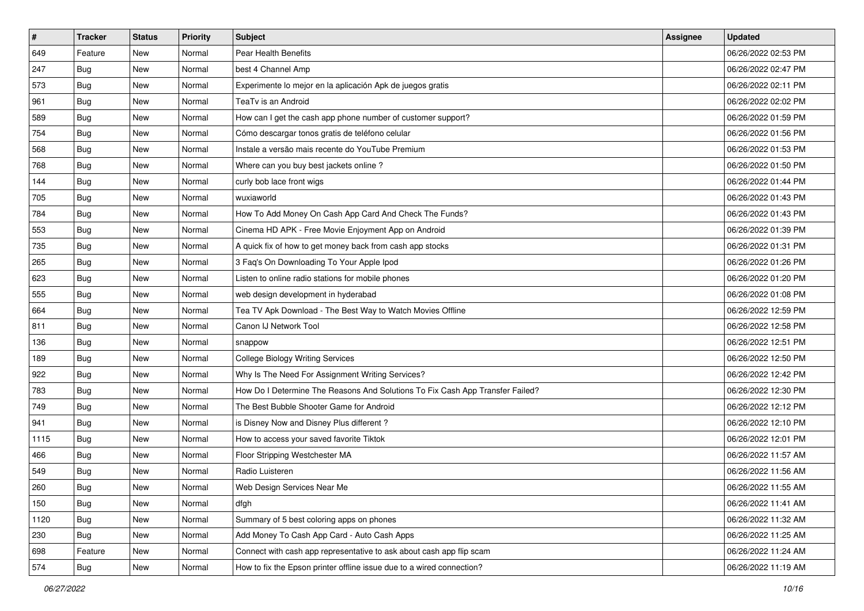| $\sharp$ | <b>Tracker</b> | <b>Status</b> | <b>Priority</b> | <b>Subject</b>                                                                | <b>Assignee</b> | <b>Updated</b>      |
|----------|----------------|---------------|-----------------|-------------------------------------------------------------------------------|-----------------|---------------------|
| 649      | Feature        | New           | Normal          | Pear Health Benefits                                                          |                 | 06/26/2022 02:53 PM |
| 247      | <b>Bug</b>     | New           | Normal          | best 4 Channel Amp                                                            |                 | 06/26/2022 02:47 PM |
| 573      | Bug            | New           | Normal          | Experimente lo mejor en la aplicación Apk de juegos gratis                    |                 | 06/26/2022 02:11 PM |
| 961      | Bug            | <b>New</b>    | Normal          | TeaTv is an Android                                                           |                 | 06/26/2022 02:02 PM |
| 589      | Bug            | New           | Normal          | How can I get the cash app phone number of customer support?                  |                 | 06/26/2022 01:59 PM |
| 754      | <b>Bug</b>     | New           | Normal          | Cómo descargar tonos gratis de teléfono celular                               |                 | 06/26/2022 01:56 PM |
| 568      | <b>Bug</b>     | New           | Normal          | Instale a versão mais recente do YouTube Premium                              |                 | 06/26/2022 01:53 PM |
| 768      | <b>Bug</b>     | New           | Normal          | Where can you buy best jackets online?                                        |                 | 06/26/2022 01:50 PM |
| 144      | <b>Bug</b>     | New           | Normal          | curly bob lace front wigs                                                     |                 | 06/26/2022 01:44 PM |
| 705      | Bug            | <b>New</b>    | Normal          | wuxiaworld                                                                    |                 | 06/26/2022 01:43 PM |
| 784      | <b>Bug</b>     | New           | Normal          | How To Add Money On Cash App Card And Check The Funds?                        |                 | 06/26/2022 01:43 PM |
| 553      | <b>Bug</b>     | New           | Normal          | Cinema HD APK - Free Movie Enjoyment App on Android                           |                 | 06/26/2022 01:39 PM |
| 735      | <b>Bug</b>     | New           | Normal          | A quick fix of how to get money back from cash app stocks                     |                 | 06/26/2022 01:31 PM |
| 265      | <b>Bug</b>     | New           | Normal          | 3 Faq's On Downloading To Your Apple Ipod                                     |                 | 06/26/2022 01:26 PM |
| 623      | <b>Bug</b>     | <b>New</b>    | Normal          | Listen to online radio stations for mobile phones                             |                 | 06/26/2022 01:20 PM |
| 555      | Bug            | New           | Normal          | web design development in hyderabad                                           |                 | 06/26/2022 01:08 PM |
| 664      | Bug            | New           | Normal          | Tea TV Apk Download - The Best Way to Watch Movies Offline                    |                 | 06/26/2022 12:59 PM |
| 811      | Bug            | <b>New</b>    | Normal          | Canon IJ Network Tool                                                         |                 | 06/26/2022 12:58 PM |
| 136      | Bug            | New           | Normal          | snappow                                                                       |                 | 06/26/2022 12:51 PM |
| 189      | Bug            | New           | Normal          | <b>College Biology Writing Services</b>                                       |                 | 06/26/2022 12:50 PM |
| 922      | Bug            | New           | Normal          | Why Is The Need For Assignment Writing Services?                              |                 | 06/26/2022 12:42 PM |
| 783      | Bug            | New           | Normal          | How Do I Determine The Reasons And Solutions To Fix Cash App Transfer Failed? |                 | 06/26/2022 12:30 PM |
| 749      | Bug            | New           | Normal          | The Best Bubble Shooter Game for Android                                      |                 | 06/26/2022 12:12 PM |
| 941      | <b>Bug</b>     | New           | Normal          | is Disney Now and Disney Plus different?                                      |                 | 06/26/2022 12:10 PM |
| 1115     | Bug            | New           | Normal          | How to access your saved favorite Tiktok                                      |                 | 06/26/2022 12:01 PM |
| 466      | Bug            | New           | Normal          | Floor Stripping Westchester MA                                                |                 | 06/26/2022 11:57 AM |
| 549      | Bug            | New           | Normal          | Radio Luisteren                                                               |                 | 06/26/2022 11:56 AM |
| 260      | i Bug          | New           | Normal          | Web Design Services Near Me                                                   |                 | 06/26/2022 11:55 AM |
| 150      | <b>Bug</b>     | New           | Normal          | dfgh                                                                          |                 | 06/26/2022 11:41 AM |
| 1120     | <b>Bug</b>     | New           | Normal          | Summary of 5 best coloring apps on phones                                     |                 | 06/26/2022 11:32 AM |
| 230      | Bug            | New           | Normal          | Add Money To Cash App Card - Auto Cash Apps                                   |                 | 06/26/2022 11:25 AM |
| 698      | Feature        | New           | Normal          | Connect with cash app representative to ask about cash app flip scam          |                 | 06/26/2022 11:24 AM |
| 574      | Bug            | New           | Normal          | How to fix the Epson printer offline issue due to a wired connection?         |                 | 06/26/2022 11:19 AM |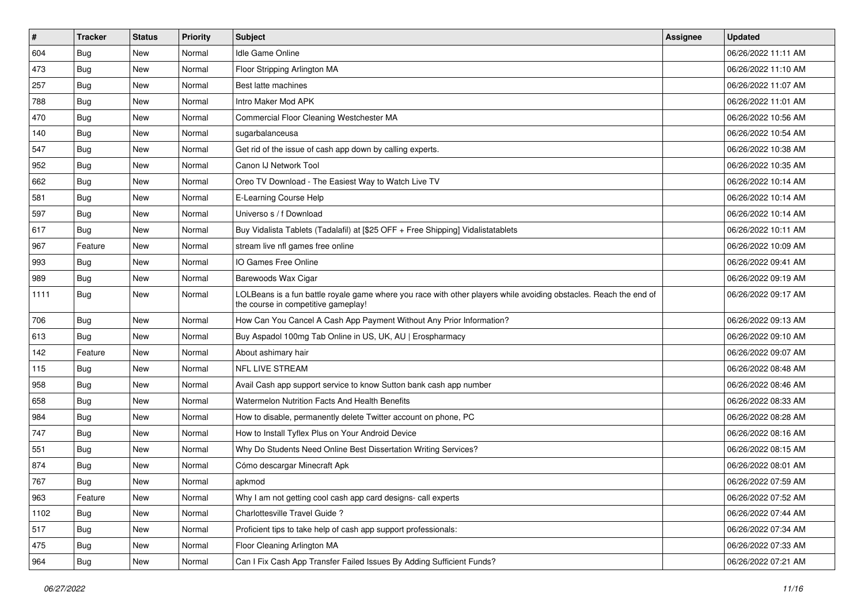| $\sharp$ | <b>Tracker</b> | <b>Status</b> | <b>Priority</b> | Subject                                                                                                                                                  | <b>Assignee</b> | <b>Updated</b>      |
|----------|----------------|---------------|-----------------|----------------------------------------------------------------------------------------------------------------------------------------------------------|-----------------|---------------------|
| 604      | Bug            | New           | Normal          | Idle Game Online                                                                                                                                         |                 | 06/26/2022 11:11 AM |
| 473      | Bug            | <b>New</b>    | Normal          | Floor Stripping Arlington MA                                                                                                                             |                 | 06/26/2022 11:10 AM |
| 257      | Bug            | New           | Normal          | Best latte machines                                                                                                                                      |                 | 06/26/2022 11:07 AM |
| 788      | Bug            | New           | Normal          | Intro Maker Mod APK                                                                                                                                      |                 | 06/26/2022 11:01 AM |
| 470      | Bug            | New           | Normal          | Commercial Floor Cleaning Westchester MA                                                                                                                 |                 | 06/26/2022 10:56 AM |
| 140      | Bug            | New           | Normal          | sugarbalanceusa                                                                                                                                          |                 | 06/26/2022 10:54 AM |
| 547      | Bug            | <b>New</b>    | Normal          | Get rid of the issue of cash app down by calling experts.                                                                                                |                 | 06/26/2022 10:38 AM |
| 952      | <b>Bug</b>     | New           | Normal          | Canon IJ Network Tool                                                                                                                                    |                 | 06/26/2022 10:35 AM |
| 662      | <b>Bug</b>     | <b>New</b>    | Normal          | Oreo TV Download - The Easiest Way to Watch Live TV                                                                                                      |                 | 06/26/2022 10:14 AM |
| 581      | Bug            | <b>New</b>    | Normal          | E-Learning Course Help                                                                                                                                   |                 | 06/26/2022 10:14 AM |
| 597      | <b>Bug</b>     | <b>New</b>    | Normal          | Universo s / f Download                                                                                                                                  |                 | 06/26/2022 10:14 AM |
| 617      | Bug            | New           | Normal          | Buy Vidalista Tablets (Tadalafil) at [\$25 OFF + Free Shipping] Vidalistatablets                                                                         |                 | 06/26/2022 10:11 AM |
| 967      | Feature        | New           | Normal          | stream live nfl games free online                                                                                                                        |                 | 06/26/2022 10:09 AM |
| 993      | <b>Bug</b>     | New           | Normal          | IO Games Free Online                                                                                                                                     |                 | 06/26/2022 09:41 AM |
| 989      | Bug            | <b>New</b>    | Normal          | Barewoods Wax Cigar                                                                                                                                      |                 | 06/26/2022 09:19 AM |
| 1111     | Bug            | New           | Normal          | LOLBeans is a fun battle royale game where you race with other players while avoiding obstacles. Reach the end of<br>the course in competitive gameplay! |                 | 06/26/2022 09:17 AM |
| 706      | Bug            | <b>New</b>    | Normal          | How Can You Cancel A Cash App Payment Without Any Prior Information?                                                                                     |                 | 06/26/2022 09:13 AM |
| 613      | Bug            | New           | Normal          | Buy Aspadol 100mg Tab Online in US, UK, AU   Erospharmacy                                                                                                |                 | 06/26/2022 09:10 AM |
| 142      | Feature        | <b>New</b>    | Normal          | About ashimary hair                                                                                                                                      |                 | 06/26/2022 09:07 AM |
| 115      | Bug            | New           | Normal          | NFL LIVE STREAM                                                                                                                                          |                 | 06/26/2022 08:48 AM |
| 958      | <b>Bug</b>     | New           | Normal          | Avail Cash app support service to know Sutton bank cash app number                                                                                       |                 | 06/26/2022 08:46 AM |
| 658      | Bug            | New           | Normal          | Watermelon Nutrition Facts And Health Benefits                                                                                                           |                 | 06/26/2022 08:33 AM |
| 984      | <b>Bug</b>     | <b>New</b>    | Normal          | How to disable, permanently delete Twitter account on phone, PC                                                                                          |                 | 06/26/2022 08:28 AM |
| 747      | Bug            | New           | Normal          | How to Install Tyflex Plus on Your Android Device                                                                                                        |                 | 06/26/2022 08:16 AM |
| 551      | <b>Bug</b>     | New           | Normal          | Why Do Students Need Online Best Dissertation Writing Services?                                                                                          |                 | 06/26/2022 08:15 AM |
| 874      | Bug            | New           | Normal          | Cómo descargar Minecraft Apk                                                                                                                             |                 | 06/26/2022 08:01 AM |
| 767      | <b>Bug</b>     | <b>New</b>    | Normal          | apkmod                                                                                                                                                   |                 | 06/26/2022 07:59 AM |
| 963      | Feature        | New           | Normal          | Why I am not getting cool cash app card designs- call experts                                                                                            |                 | 06/26/2022 07:52 AM |
| 1102     | <b>Bug</b>     | New           | Normal          | Charlottesville Travel Guide?                                                                                                                            |                 | 06/26/2022 07:44 AM |
| 517      | <b>Bug</b>     | New           | Normal          | Proficient tips to take help of cash app support professionals:                                                                                          |                 | 06/26/2022 07:34 AM |
| 475      | <b>Bug</b>     | New           | Normal          | Floor Cleaning Arlington MA                                                                                                                              |                 | 06/26/2022 07:33 AM |
| 964      | <b>Bug</b>     | New           | Normal          | Can I Fix Cash App Transfer Failed Issues By Adding Sufficient Funds?                                                                                    |                 | 06/26/2022 07:21 AM |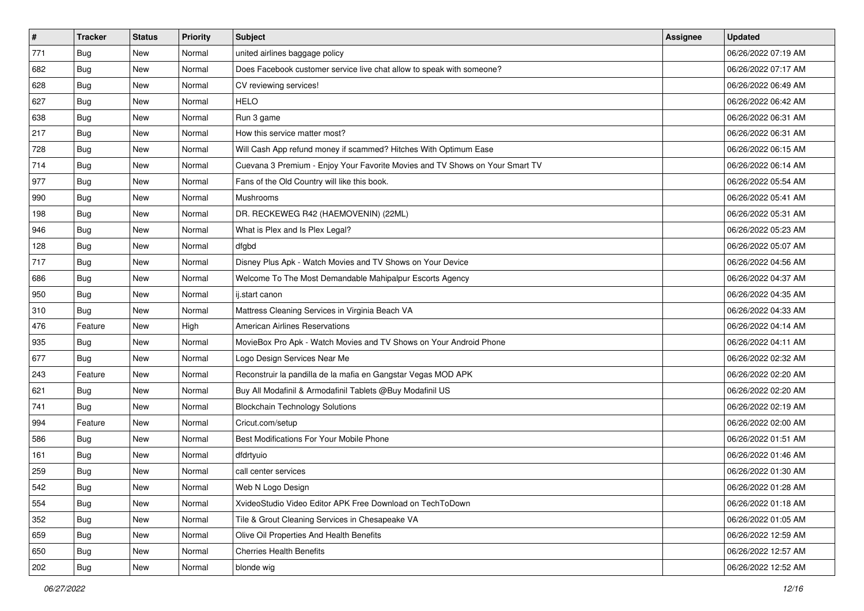| $\vert$ # | <b>Tracker</b> | <b>Status</b> | <b>Priority</b> | Subject                                                                      | Assignee | <b>Updated</b>      |
|-----------|----------------|---------------|-----------------|------------------------------------------------------------------------------|----------|---------------------|
| 771       | <b>Bug</b>     | New           | Normal          | united airlines baggage policy                                               |          | 06/26/2022 07:19 AM |
| 682       | Bug            | New           | Normal          | Does Facebook customer service live chat allow to speak with someone?        |          | 06/26/2022 07:17 AM |
| 628       | Bug            | New           | Normal          | CV reviewing services!                                                       |          | 06/26/2022 06:49 AM |
| 627       | <b>Bug</b>     | New           | Normal          | <b>HELO</b>                                                                  |          | 06/26/2022 06:42 AM |
| 638       | Bug            | New           | Normal          | Run 3 game                                                                   |          | 06/26/2022 06:31 AM |
| 217       | <b>Bug</b>     | New           | Normal          | How this service matter most?                                                |          | 06/26/2022 06:31 AM |
| 728       | Bug            | New           | Normal          | Will Cash App refund money if scammed? Hitches With Optimum Ease             |          | 06/26/2022 06:15 AM |
| 714       | <b>Bug</b>     | <b>New</b>    | Normal          | Cuevana 3 Premium - Enjoy Your Favorite Movies and TV Shows on Your Smart TV |          | 06/26/2022 06:14 AM |
| 977       | Bug            | New           | Normal          | Fans of the Old Country will like this book.                                 |          | 06/26/2022 05:54 AM |
| 990       | <b>Bug</b>     | <b>New</b>    | Normal          | Mushrooms                                                                    |          | 06/26/2022 05:41 AM |
| 198       | <b>Bug</b>     | New           | Normal          | DR. RECKEWEG R42 (HAEMOVENIN) (22ML)                                         |          | 06/26/2022 05:31 AM |
| 946       | Bug            | New           | Normal          | What is Plex and Is Plex Legal?                                              |          | 06/26/2022 05:23 AM |
| 128       | Bug            | New           | Normal          | dfgbd                                                                        |          | 06/26/2022 05:07 AM |
| 717       | <b>Bug</b>     | New           | Normal          | Disney Plus Apk - Watch Movies and TV Shows on Your Device                   |          | 06/26/2022 04:56 AM |
| 686       | <b>Bug</b>     | New           | Normal          | Welcome To The Most Demandable Mahipalpur Escorts Agency                     |          | 06/26/2022 04:37 AM |
| 950       | Bug            | New           | Normal          | ij.start canon                                                               |          | 06/26/2022 04:35 AM |
| 310       | <b>Bug</b>     | <b>New</b>    | Normal          | Mattress Cleaning Services in Virginia Beach VA                              |          | 06/26/2022 04:33 AM |
| 476       | Feature        | New           | High            | American Airlines Reservations                                               |          | 06/26/2022 04:14 AM |
| 935       | <b>Bug</b>     | New           | Normal          | MovieBox Pro Apk - Watch Movies and TV Shows on Your Android Phone           |          | 06/26/2022 04:11 AM |
| 677       | <b>Bug</b>     | New           | Normal          | Logo Design Services Near Me                                                 |          | 06/26/2022 02:32 AM |
| 243       | Feature        | <b>New</b>    | Normal          | Reconstruir la pandilla de la mafia en Gangstar Vegas MOD APK                |          | 06/26/2022 02:20 AM |
| 621       | Bug            | New           | Normal          | Buy All Modafinil & Armodafinil Tablets @Buy Modafinil US                    |          | 06/26/2022 02:20 AM |
| 741       | Bug            | New           | Normal          | <b>Blockchain Technology Solutions</b>                                       |          | 06/26/2022 02:19 AM |
| 994       | Feature        | New           | Normal          | Cricut.com/setup                                                             |          | 06/26/2022 02:00 AM |
| 586       | Bug            | New           | Normal          | Best Modifications For Your Mobile Phone                                     |          | 06/26/2022 01:51 AM |
| 161       | Bug            | New           | Normal          | dfdrtyuio                                                                    |          | 06/26/2022 01:46 AM |
| 259       | Bug            | New           | Normal          | call center services                                                         |          | 06/26/2022 01:30 AM |
| 542       | <b>Bug</b>     | New           | Normal          | Web N Logo Design                                                            |          | 06/26/2022 01:28 AM |
| 554       | <b>Bug</b>     | New           | Normal          | XvideoStudio Video Editor APK Free Download on TechToDown                    |          | 06/26/2022 01:18 AM |
| 352       | <b>Bug</b>     | New           | Normal          | Tile & Grout Cleaning Services in Chesapeake VA                              |          | 06/26/2022 01:05 AM |
| 659       | <b>Bug</b>     | New           | Normal          | Olive Oil Properties And Health Benefits                                     |          | 06/26/2022 12:59 AM |
| 650       | <b>Bug</b>     | New           | Normal          | <b>Cherries Health Benefits</b>                                              |          | 06/26/2022 12:57 AM |
| 202       | <b>Bug</b>     | New           | Normal          | blonde wig                                                                   |          | 06/26/2022 12:52 AM |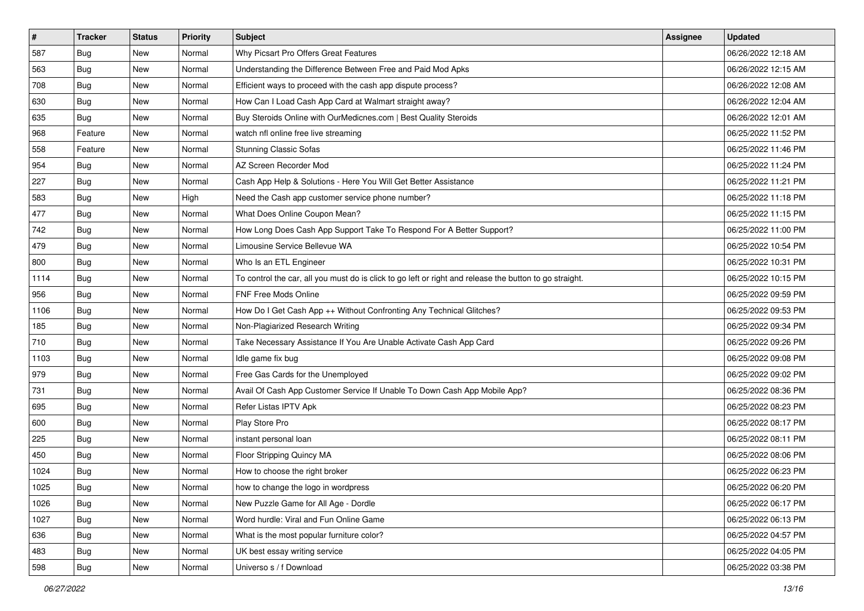| $\sharp$ | <b>Tracker</b> | <b>Status</b> | <b>Priority</b> | Subject                                                                                                 | Assignee | <b>Updated</b>      |
|----------|----------------|---------------|-----------------|---------------------------------------------------------------------------------------------------------|----------|---------------------|
| 587      | <b>Bug</b>     | New           | Normal          | Why Picsart Pro Offers Great Features                                                                   |          | 06/26/2022 12:18 AM |
| 563      | Bug            | New           | Normal          | Understanding the Difference Between Free and Paid Mod Apks                                             |          | 06/26/2022 12:15 AM |
| 708      | Bug            | New           | Normal          | Efficient ways to proceed with the cash app dispute process?                                            |          | 06/26/2022 12:08 AM |
| 630      | <b>Bug</b>     | New           | Normal          | How Can I Load Cash App Card at Walmart straight away?                                                  |          | 06/26/2022 12:04 AM |
| 635      | Bug            | New           | Normal          | Buy Steroids Online with OurMedicnes.com   Best Quality Steroids                                        |          | 06/26/2022 12:01 AM |
| 968      | Feature        | New           | Normal          | watch nfl online free live streaming                                                                    |          | 06/25/2022 11:52 PM |
| 558      | Feature        | New           | Normal          | <b>Stunning Classic Sofas</b>                                                                           |          | 06/25/2022 11:46 PM |
| 954      | Bug            | New           | Normal          | AZ Screen Recorder Mod                                                                                  |          | 06/25/2022 11:24 PM |
| 227      | Bug            | New           | Normal          | Cash App Help & Solutions - Here You Will Get Better Assistance                                         |          | 06/25/2022 11:21 PM |
| 583      | <b>Bug</b>     | <b>New</b>    | High            | Need the Cash app customer service phone number?                                                        |          | 06/25/2022 11:18 PM |
| 477      | <b>Bug</b>     | New           | Normal          | What Does Online Coupon Mean?                                                                           |          | 06/25/2022 11:15 PM |
| 742      | Bug            | New           | Normal          | How Long Does Cash App Support Take To Respond For A Better Support?                                    |          | 06/25/2022 11:00 PM |
| 479      | Bug            | New           | Normal          | Limousine Service Bellevue WA                                                                           |          | 06/25/2022 10:54 PM |
| 800      | <b>Bug</b>     | New           | Normal          | Who Is an ETL Engineer                                                                                  |          | 06/25/2022 10:31 PM |
| 1114     | <b>Bug</b>     | New           | Normal          | To control the car, all you must do is click to go left or right and release the button to go straight. |          | 06/25/2022 10:15 PM |
| 956      | Bug            | New           | Normal          | FNF Free Mods Online                                                                                    |          | 06/25/2022 09:59 PM |
| 1106     | <b>Bug</b>     | New           | Normal          | How Do I Get Cash App ++ Without Confronting Any Technical Glitches?                                    |          | 06/25/2022 09:53 PM |
| 185      | Bug            | New           | Normal          | Non-Plagiarized Research Writing                                                                        |          | 06/25/2022 09:34 PM |
| 710      | <b>Bug</b>     | New           | Normal          | Take Necessary Assistance If You Are Unable Activate Cash App Card                                      |          | 06/25/2022 09:26 PM |
| 1103     | <b>Bug</b>     | New           | Normal          | Idle game fix bug                                                                                       |          | 06/25/2022 09:08 PM |
| 979      | <b>Bug</b>     | <b>New</b>    | Normal          | Free Gas Cards for the Unemployed                                                                       |          | 06/25/2022 09:02 PM |
| 731      | <b>Bug</b>     | New           | Normal          | Avail Of Cash App Customer Service If Unable To Down Cash App Mobile App?                               |          | 06/25/2022 08:36 PM |
| 695      | Bug            | New           | Normal          | Refer Listas IPTV Apk                                                                                   |          | 06/25/2022 08:23 PM |
| 600      | <b>Bug</b>     | New           | Normal          | Play Store Pro                                                                                          |          | 06/25/2022 08:17 PM |
| 225      | Bug            | New           | Normal          | instant personal loan                                                                                   |          | 06/25/2022 08:11 PM |
| 450      | Bug            | New           | Normal          | Floor Stripping Quincy MA                                                                               |          | 06/25/2022 08:06 PM |
| 1024     | <b>Bug</b>     | New           | Normal          | How to choose the right broker                                                                          |          | 06/25/2022 06:23 PM |
| 1025     | <b>Bug</b>     | New           | Normal          | how to change the logo in wordpress                                                                     |          | 06/25/2022 06:20 PM |
| 1026     | <b>Bug</b>     | New           | Normal          | New Puzzle Game for All Age - Dordle                                                                    |          | 06/25/2022 06:17 PM |
| 1027     | <b>Bug</b>     | New           | Normal          | Word hurdle: Viral and Fun Online Game                                                                  |          | 06/25/2022 06:13 PM |
| 636      | Bug            | New           | Normal          | What is the most popular furniture color?                                                               |          | 06/25/2022 04:57 PM |
| 483      | Bug            | New           | Normal          | UK best essay writing service                                                                           |          | 06/25/2022 04:05 PM |
| 598      | <b>Bug</b>     | New           | Normal          | Universo s / f Download                                                                                 |          | 06/25/2022 03:38 PM |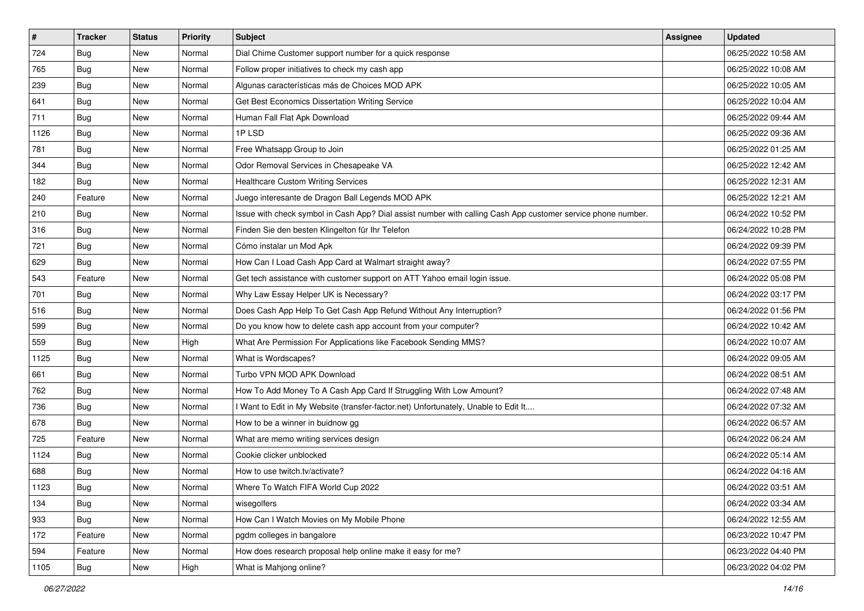| $\vert$ # | <b>Tracker</b> | <b>Status</b> | <b>Priority</b> | <b>Subject</b>                                                                                               | <b>Assignee</b> | <b>Updated</b>      |
|-----------|----------------|---------------|-----------------|--------------------------------------------------------------------------------------------------------------|-----------------|---------------------|
| 724       | Bug            | New           | Normal          | Dial Chime Customer support number for a quick response                                                      |                 | 06/25/2022 10:58 AM |
| 765       | <b>Bug</b>     | New           | Normal          | Follow proper initiatives to check my cash app                                                               |                 | 06/25/2022 10:08 AM |
| 239       | <b>Bug</b>     | New           | Normal          | Algunas características más de Choices MOD APK                                                               |                 | 06/25/2022 10:05 AM |
| 641       | <b>Bug</b>     | <b>New</b>    | Normal          | Get Best Economics Dissertation Writing Service                                                              |                 | 06/25/2022 10:04 AM |
| 711       | Bug            | New           | Normal          | Human Fall Flat Apk Download                                                                                 |                 | 06/25/2022 09:44 AM |
| 1126      | <b>Bug</b>     | New           | Normal          | 1PLSD                                                                                                        |                 | 06/25/2022 09:36 AM |
| 781       | <b>Bug</b>     | New           | Normal          | Free Whatsapp Group to Join                                                                                  |                 | 06/25/2022 01:25 AM |
| 344       | Bug            | New           | Normal          | Odor Removal Services in Chesapeake VA                                                                       |                 | 06/25/2022 12:42 AM |
| 182       | <b>Bug</b>     | New           | Normal          | <b>Healthcare Custom Writing Services</b>                                                                    |                 | 06/25/2022 12:31 AM |
| 240       | Feature        | New           | Normal          | Juego interesante de Dragon Ball Legends MOD APK                                                             |                 | 06/25/2022 12:21 AM |
| 210       | <b>Bug</b>     | New           | Normal          | Issue with check symbol in Cash App? Dial assist number with calling Cash App customer service phone number. |                 | 06/24/2022 10:52 PM |
| 316       | Bug            | New           | Normal          | Finden Sie den besten Klingelton für Ihr Telefon                                                             |                 | 06/24/2022 10:28 PM |
| 721       | Bug            | New           | Normal          | Cómo instalar un Mod Apk                                                                                     |                 | 06/24/2022 09:39 PM |
| 629       | Bug            | New           | Normal          | How Can I Load Cash App Card at Walmart straight away?                                                       |                 | 06/24/2022 07:55 PM |
| 543       | Feature        | New           | Normal          | Get tech assistance with customer support on ATT Yahoo email login issue.                                    |                 | 06/24/2022 05:08 PM |
| 701       | <b>Bug</b>     | New           | Normal          | Why Law Essay Helper UK is Necessary?                                                                        |                 | 06/24/2022 03:17 PM |
| 516       | <b>Bug</b>     | New           | Normal          | Does Cash App Help To Get Cash App Refund Without Any Interruption?                                          |                 | 06/24/2022 01:56 PM |
| 599       | <b>Bug</b>     | New           | Normal          | Do you know how to delete cash app account from your computer?                                               |                 | 06/24/2022 10:42 AM |
| 559       | <b>Bug</b>     | New           | High            | What Are Permission For Applications like Facebook Sending MMS?                                              |                 | 06/24/2022 10:07 AM |
| 1125      | <b>Bug</b>     | New           | Normal          | What is Wordscapes?                                                                                          |                 | 06/24/2022 09:05 AM |
| 661       | <b>Bug</b>     | New           | Normal          | Turbo VPN MOD APK Download                                                                                   |                 | 06/24/2022 08:51 AM |
| 762       | <b>Bug</b>     | New           | Normal          | How To Add Money To A Cash App Card If Struggling With Low Amount?                                           |                 | 06/24/2022 07:48 AM |
| 736       | Bug            | New           | Normal          | I Want to Edit in My Website (transfer-factor.net) Unfortunately, Unable to Edit It                          |                 | 06/24/2022 07:32 AM |
| 678       | <b>Bug</b>     | New           | Normal          | How to be a winner in buidnow gg                                                                             |                 | 06/24/2022 06:57 AM |
| 725       | Feature        | New           | Normal          | What are memo writing services design                                                                        |                 | 06/24/2022 06:24 AM |
| 1124      | <b>Bug</b>     | New           | Normal          | Cookie clicker unblocked                                                                                     |                 | 06/24/2022 05:14 AM |
| 688       | <b>Bug</b>     | New           | Normal          | How to use twitch.tv/activate?                                                                               |                 | 06/24/2022 04:16 AM |
| 1123      | <b>Bug</b>     | New           | Normal          | Where To Watch FIFA World Cup 2022                                                                           |                 | 06/24/2022 03:51 AM |
| 134       | <b>Bug</b>     | New           | Normal          | wisegolfers                                                                                                  |                 | 06/24/2022 03:34 AM |
| 933       | Bug            | New           | Normal          | How Can I Watch Movies on My Mobile Phone                                                                    |                 | 06/24/2022 12:55 AM |
| 172       | Feature        | New           | Normal          | pgdm colleges in bangalore                                                                                   |                 | 06/23/2022 10:47 PM |
| 594       | Feature        | New           | Normal          | How does research proposal help online make it easy for me?                                                  |                 | 06/23/2022 04:40 PM |
| 1105      | Bug            | New           | High            | What is Mahjong online?                                                                                      |                 | 06/23/2022 04:02 PM |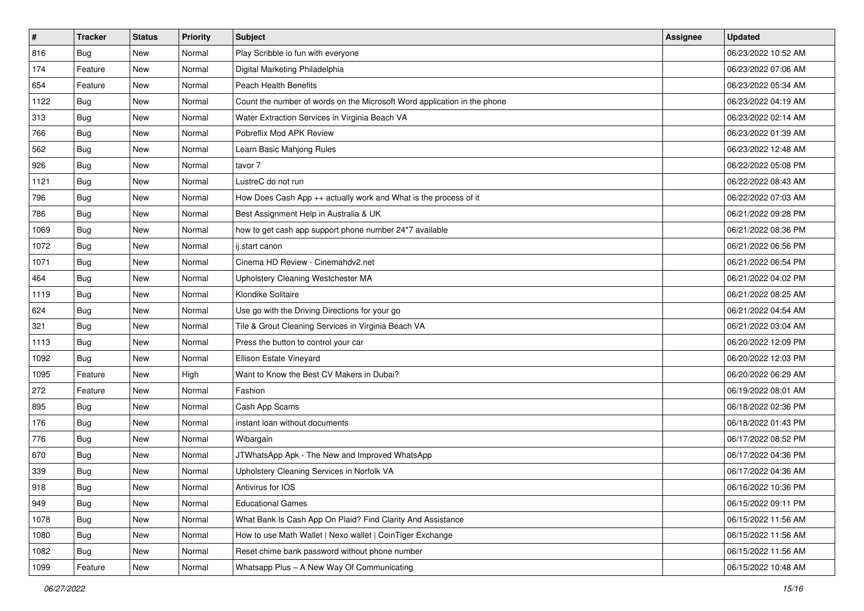| $\sharp$ | <b>Tracker</b> | <b>Status</b> | <b>Priority</b> | <b>Subject</b>                                                           | <b>Assignee</b> | <b>Updated</b>      |
|----------|----------------|---------------|-----------------|--------------------------------------------------------------------------|-----------------|---------------------|
| 816      | <b>Bug</b>     | New           | Normal          | Play Scribble io fun with everyone                                       |                 | 06/23/2022 10:52 AM |
| 174      | Feature        | New           | Normal          | Digital Marketing Philadelphia                                           |                 | 06/23/2022 07:06 AM |
| 654      | Feature        | New           | Normal          | Peach Health Benefits                                                    |                 | 06/23/2022 05:34 AM |
| 1122     | <b>Bug</b>     | New           | Normal          | Count the number of words on the Microsoft Word application in the phone |                 | 06/23/2022 04:19 AM |
| 313      | Bug            | New           | Normal          | Water Extraction Services in Virginia Beach VA                           |                 | 06/23/2022 02:14 AM |
| 766      | <b>Bug</b>     | New           | Normal          | Pobreflix Mod APK Review                                                 |                 | 06/23/2022 01:39 AM |
| 562      | <b>Bug</b>     | New           | Normal          | Learn Basic Mahjong Rules                                                |                 | 06/23/2022 12:48 AM |
| 926      | <b>Bug</b>     | New           | Normal          | tavor 7                                                                  |                 | 06/22/2022 05:08 PM |
| 1121     | Bug            | New           | Normal          | LustreC do not run                                                       |                 | 06/22/2022 08:43 AM |
| 796      | Bug            | <b>New</b>    | Normal          | How Does Cash App ++ actually work and What is the process of it         |                 | 06/22/2022 07:03 AM |
| 786      | <b>Bug</b>     | New           | Normal          | Best Assignment Help in Australia & UK                                   |                 | 06/21/2022 09:28 PM |
| 1069     | <b>Bug</b>     | New           | Normal          | how to get cash app support phone number 24*7 available                  |                 | 06/21/2022 08:36 PM |
| 1072     | Bug            | New           | Normal          | ij.start canon                                                           |                 | 06/21/2022 06:56 PM |
| 1071     | <b>Bug</b>     | New           | Normal          | Cinema HD Review - Cinemahdv2.net                                        |                 | 06/21/2022 06:54 PM |
| 464      | <b>Bug</b>     | <b>New</b>    | Normal          | Upholstery Cleaning Westchester MA                                       |                 | 06/21/2022 04:02 PM |
| 1119     | Bug            | New           | Normal          | Klondike Solitaire                                                       |                 | 06/21/2022 08:25 AM |
| 624      | <b>Bug</b>     | New           | Normal          | Use go with the Driving Directions for your go                           |                 | 06/21/2022 04:54 AM |
| 321      | Bug            | New           | Normal          | Tile & Grout Cleaning Services in Virginia Beach VA                      |                 | 06/21/2022 03:04 AM |
| 1113     | Bug            | New           | Normal          | Press the button to control your car                                     |                 | 06/20/2022 12:09 PM |
| 1092     | Bug            | New           | Normal          | Ellison Estate Vineyard                                                  |                 | 06/20/2022 12:03 PM |
| 1095     | Feature        | New           | High            | Want to Know the Best CV Makers in Dubai?                                |                 | 06/20/2022 06:29 AM |
| 272      | Feature        | New           | Normal          | Fashion                                                                  |                 | 06/19/2022 08:01 AM |
| 895      | Bug            | New           | Normal          | Cash App Scams                                                           |                 | 06/18/2022 02:36 PM |
| 176      | <b>Bug</b>     | New           | Normal          | instant loan without documents                                           |                 | 06/18/2022 01:43 PM |
| 776      | Bug            | New           | Normal          | Wibargain                                                                |                 | 06/17/2022 08:52 PM |
| 670      | Bug            | New           | Normal          | JTWhatsApp Apk - The New and Improved WhatsApp                           |                 | 06/17/2022 04:36 PM |
| 339      | <b>Bug</b>     | New           | Normal          | Upholstery Cleaning Services in Norfolk VA                               |                 | 06/17/2022 04:36 AM |
| 918      | I Bug          | New           | Normal          | Antivirus for IOS                                                        |                 | 06/16/2022 10:36 PM |
| 949      | <b>Bug</b>     | New           | Normal          | <b>Educational Games</b>                                                 |                 | 06/15/2022 09:11 PM |
| 1078     | <b>Bug</b>     | New           | Normal          | What Bank Is Cash App On Plaid? Find Clarity And Assistance              |                 | 06/15/2022 11:56 AM |
| 1080     | Bug            | New           | Normal          | How to use Math Wallet   Nexo wallet   CoinTiger Exchange                |                 | 06/15/2022 11:56 AM |
| 1082     | <b>Bug</b>     | New           | Normal          | Reset chime bank password without phone number                           |                 | 06/15/2022 11:56 AM |
| 1099     | Feature        | New           | Normal          | Whatsapp Plus - A New Way Of Communicating                               |                 | 06/15/2022 10:48 AM |